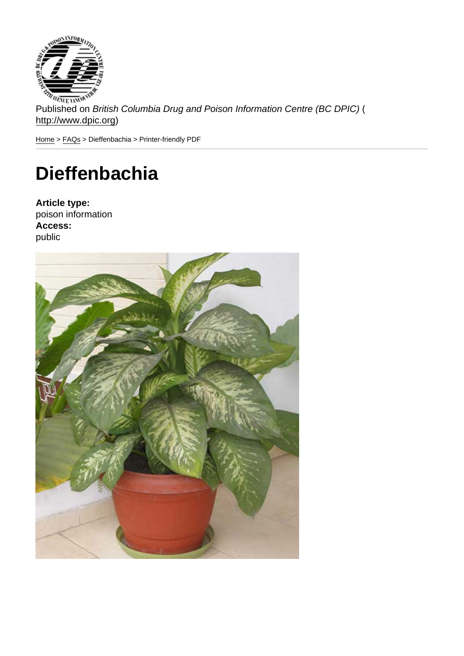Published on British Columbia Drug and Poison Information Centre (BC DPIC) ( http://www.dpic.org)

Home > FAQs > Dieffenbachia > Printer-friendly PDF

# **[Di](http://www.dpic.org/)[effe](http://www.dpic.org/faq)nbachia**

Article type: poison information Access: public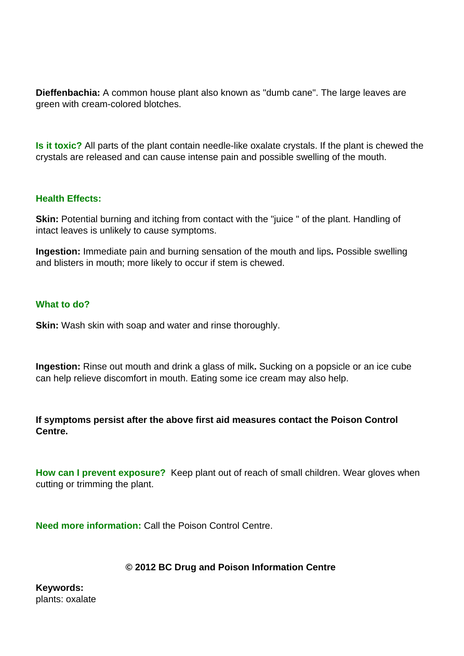**Dieffenbachia:** A common house plant also known as "dumb cane". The large leaves are green with cream-colored blotches.

**Is it toxic?** All parts of the plant contain needle-like oxalate crystals. If the plant is chewed the crystals are released and can cause intense pain and possible swelling of the mouth.

## **Health Effects:**

**Skin:** Potential burning and itching from contact with the "juice " of the plant. Handling of intact leaves is unlikely to cause symptoms.

**Ingestion:** Immediate pain and burning sensation of the mouth and lips**.** Possible swelling and blisters in mouth; more likely to occur if stem is chewed.

## **What to do?**

**Skin:** Wash skin with soap and water and rinse thoroughly.

**Ingestion:** Rinse out mouth and drink a glass of milk**.** Sucking on a popsicle or an ice cube can help relieve discomfort in mouth. Eating some ice cream may also help.

**If symptoms persist after the above first aid measures contact the Poison Control Centre.**

**How can I prevent exposure?** Keep plant out of reach of small children. Wear gloves when cutting or trimming the plant.

**Need more information:** Call the Poison Control Centre.

## **© 2012 BC Drug and Poison Information Centre**

**Keywords:**  plants: oxalate